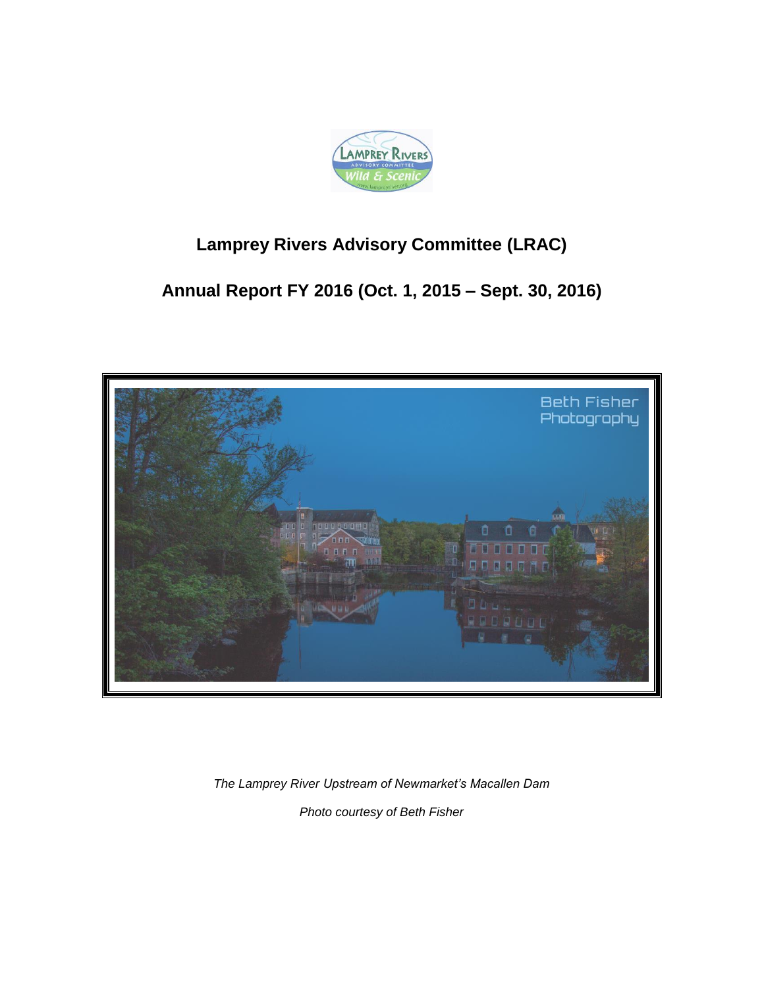

# **Lamprey Rivers Advisory Committee (LRAC)**

# **Annual Report FY 2016 (Oct. 1, 2015 – Sept. 30, 2016)**



*The Lamprey River Upstream of Newmarket's Macallen Dam Photo courtesy of Beth Fisher*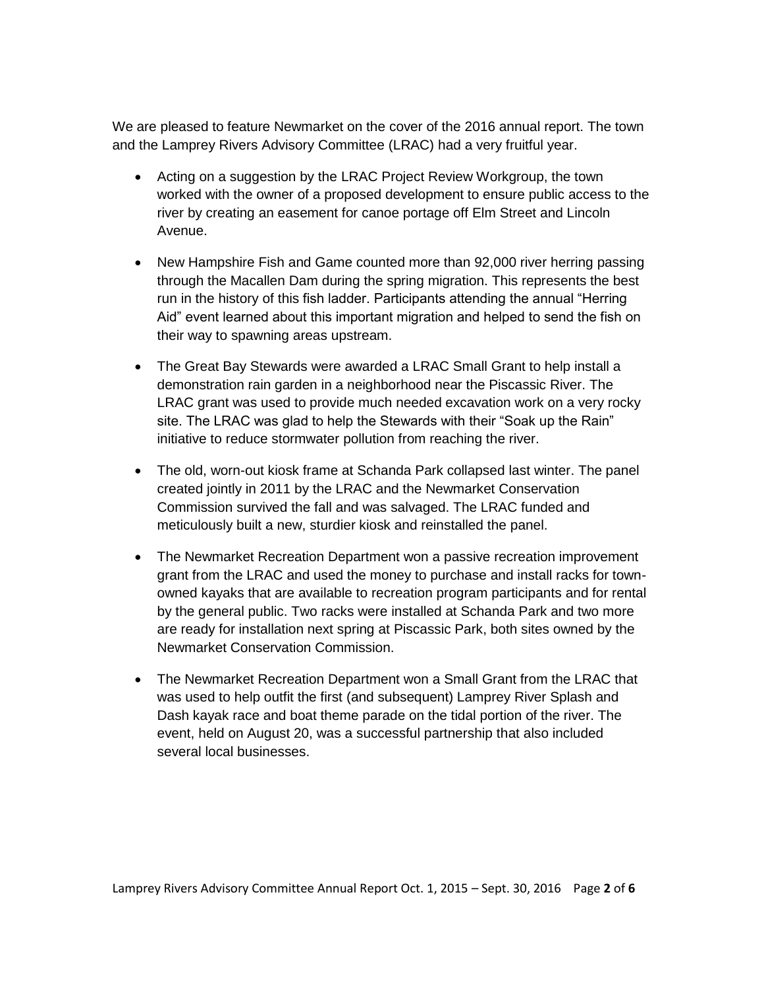We are pleased to feature Newmarket on the cover of the 2016 annual report. The town and the Lamprey Rivers Advisory Committee (LRAC) had a very fruitful year.

- Acting on a suggestion by the LRAC Project Review Workgroup, the town worked with the owner of a proposed development to ensure public access to the river by creating an easement for canoe portage off Elm Street and Lincoln Avenue.
- New Hampshire Fish and Game counted more than 92,000 river herring passing through the Macallen Dam during the spring migration. This represents the best run in the history of this fish ladder. Participants attending the annual "Herring Aid" event learned about this important migration and helped to send the fish on their way to spawning areas upstream.
- The Great Bay Stewards were awarded a LRAC Small Grant to help install a demonstration rain garden in a neighborhood near the Piscassic River. The LRAC grant was used to provide much needed excavation work on a very rocky site. The LRAC was glad to help the Stewards with their "Soak up the Rain" initiative to reduce stormwater pollution from reaching the river.
- The old, worn-out kiosk frame at Schanda Park collapsed last winter. The panel created jointly in 2011 by the LRAC and the Newmarket Conservation Commission survived the fall and was salvaged. The LRAC funded and meticulously built a new, sturdier kiosk and reinstalled the panel.
- The Newmarket Recreation Department won a passive recreation improvement grant from the LRAC and used the money to purchase and install racks for townowned kayaks that are available to recreation program participants and for rental by the general public. Two racks were installed at Schanda Park and two more are ready for installation next spring at Piscassic Park, both sites owned by the Newmarket Conservation Commission.
- The Newmarket Recreation Department won a Small Grant from the LRAC that was used to help outfit the first (and subsequent) Lamprey River Splash and Dash kayak race and boat theme parade on the tidal portion of the river. The event, held on August 20, was a successful partnership that also included several local businesses.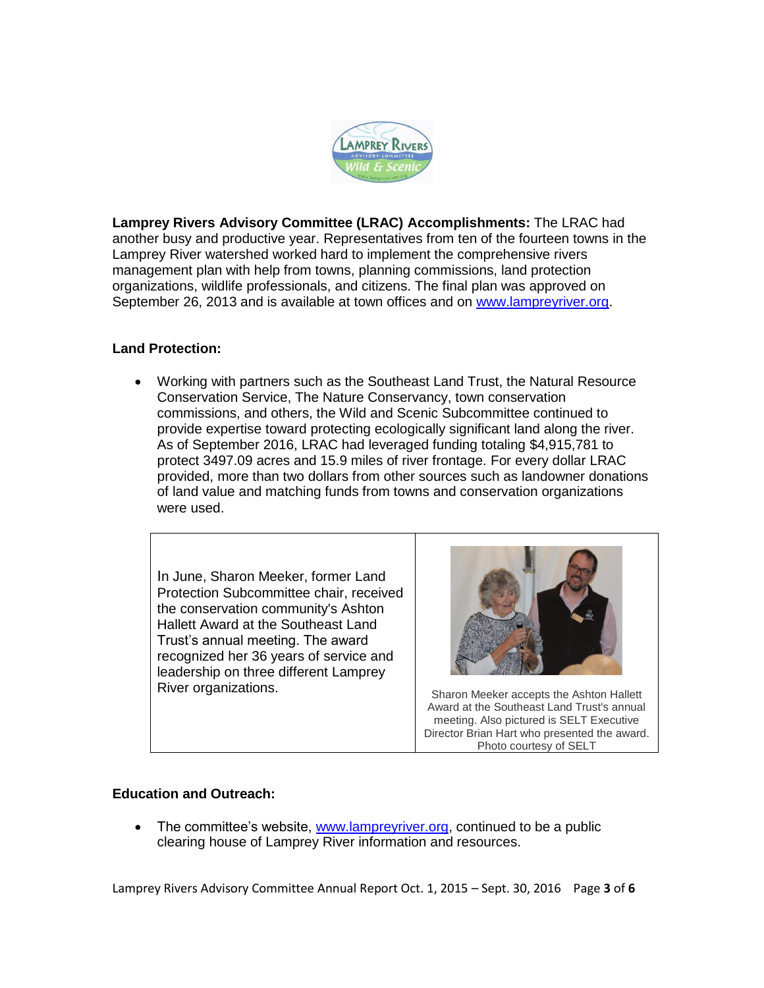

**Lamprey Rivers Advisory Committee (LRAC) Accomplishments:** The LRAC had another busy and productive year. Representatives from ten of the fourteen towns in the Lamprey River watershed worked hard to implement the comprehensive rivers management plan with help from towns, planning commissions, land protection organizations, wildlife professionals, and citizens. The final plan was approved on September 26, 2013 and is available at town offices and on [www.lampreyriver.org.](../../../../AppData/Local/Temp/Temp1_Re_%20LRAC%20annual%20report.zip/www.lampreyriver.org)

## **Land Protection:**

 Working with partners such as the Southeast Land Trust, the Natural Resource Conservation Service, The Nature Conservancy, town conservation commissions, and others, the Wild and Scenic Subcommittee continued to provide expertise toward protecting ecologically significant land along the river. As of September 2016, LRAC had leveraged funding totaling \$4,915,781 to protect 3497.09 acres and 15.9 miles of river frontage. For every dollar LRAC provided, more than two dollars from other sources such as landowner donations of land value and matching funds from towns and conservation organizations were used.

In June, Sharon Meeker, former Land Protection Subcommittee chair, received the conservation community's Ashton Hallett Award at the Southeast Land Trust's annual meeting. The award recognized her 36 years of service and leadership on three different Lamprey River organizations. The Sharon Meeker accepts the Ashton Hallett



Award at the Southeast Land Trust's annual meeting. Also pictured is SELT Executive Director Brian Hart who presented the award. Photo courtesy of SELT

#### **Education and Outreach:**

• The committee's website, [www.lampreyriver.org,](http://www.lampreyriver.org/) continued to be a public clearing house of Lamprey River information and resources.

Lamprey Rivers Advisory Committee Annual Report Oct. 1, 2015 – Sept. 30, 2016 Page **3** of **6**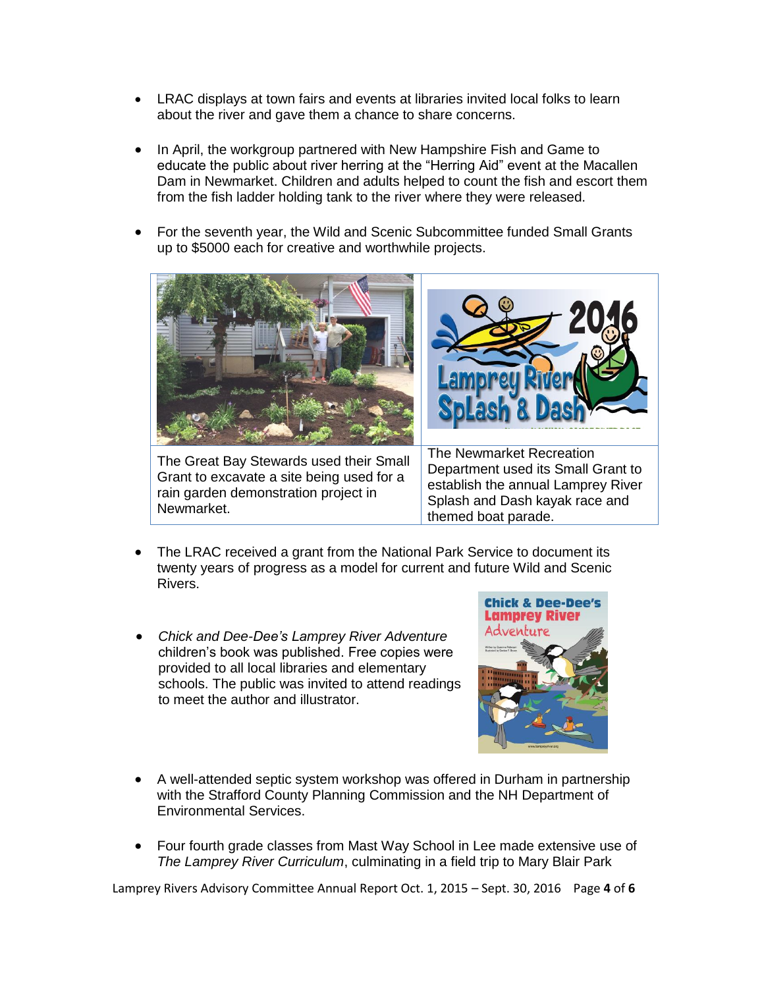- LRAC displays at town fairs and events at libraries invited local folks to learn about the river and gave them a chance to share concerns.
- In April, the workgroup partnered with New Hampshire Fish and Game to educate the public about river herring at the "Herring Aid" event at the Macallen Dam in Newmarket. Children and adults helped to count the fish and escort them from the fish ladder holding tank to the river where they were released.
- For the seventh year, the Wild and Scenic Subcommittee funded Small Grants up to \$5000 each for creative and worthwhile projects.



- The LRAC received a grant from the National Park Service to document its twenty years of progress as a model for current and future Wild and Scenic Rivers.
- *Chick and Dee-Dee's Lamprey River Adventure* children's book was published. Free copies were provided to all local libraries and elementary schools. The public was invited to attend readings to meet the author and illustrator.



- A well-attended septic system workshop was offered in Durham in partnership with the Strafford County Planning Commission and the NH Department of Environmental Services.
- Four fourth grade classes from Mast Way School in Lee made extensive use of *The Lamprey River Curriculum*, culminating in a field trip to Mary Blair Park

Lamprey Rivers Advisory Committee Annual Report Oct. 1, 2015 – Sept. 30, 2016 Page **4** of **6**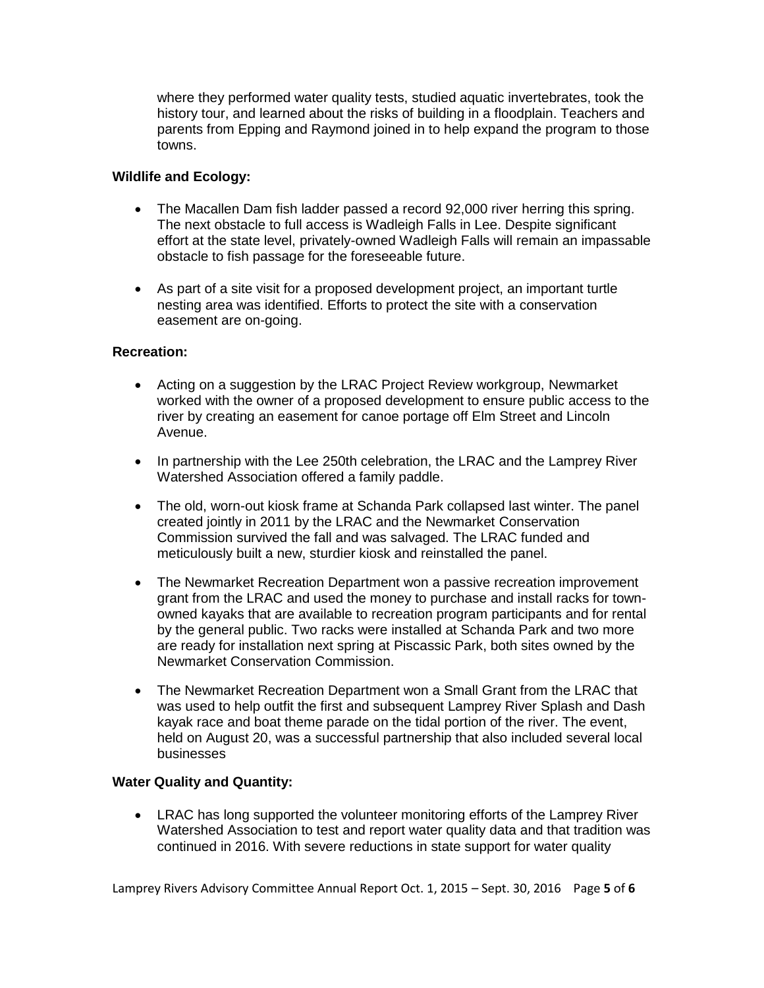where they performed water quality tests, studied aquatic invertebrates, took the history tour, and learned about the risks of building in a floodplain. Teachers and parents from Epping and Raymond joined in to help expand the program to those towns.

#### **Wildlife and Ecology:**

- The Macallen Dam fish ladder passed a record 92,000 river herring this spring. The next obstacle to full access is Wadleigh Falls in Lee. Despite significant effort at the state level, privately-owned Wadleigh Falls will remain an impassable obstacle to fish passage for the foreseeable future.
- As part of a site visit for a proposed development project, an important turtle nesting area was identified. Efforts to protect the site with a conservation easement are on-going.

#### **Recreation:**

- Acting on a suggestion by the LRAC Project Review workgroup, Newmarket worked with the owner of a proposed development to ensure public access to the river by creating an easement for canoe portage off Elm Street and Lincoln Avenue.
- In partnership with the Lee 250th celebration, the LRAC and the Lamprey River Watershed Association offered a family paddle.
- The old, worn-out kiosk frame at Schanda Park collapsed last winter. The panel created jointly in 2011 by the LRAC and the Newmarket Conservation Commission survived the fall and was salvaged. The LRAC funded and meticulously built a new, sturdier kiosk and reinstalled the panel.
- The Newmarket Recreation Department won a passive recreation improvement grant from the LRAC and used the money to purchase and install racks for townowned kayaks that are available to recreation program participants and for rental by the general public. Two racks were installed at Schanda Park and two more are ready for installation next spring at Piscassic Park, both sites owned by the Newmarket Conservation Commission.
- The Newmarket Recreation Department won a Small Grant from the LRAC that was used to help outfit the first and subsequent Lamprey River Splash and Dash kayak race and boat theme parade on the tidal portion of the river. The event, held on August 20, was a successful partnership that also included several local businesses

## **Water Quality and Quantity:**

 LRAC has long supported the volunteer monitoring efforts of the Lamprey River Watershed Association to test and report water quality data and that tradition was continued in 2016. With severe reductions in state support for water quality

Lamprey Rivers Advisory Committee Annual Report Oct. 1, 2015 – Sept. 30, 2016 Page **5** of **6**